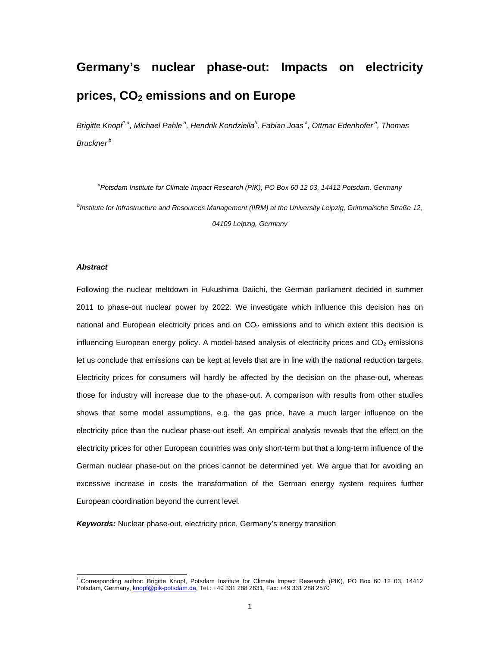# **Germany's nuclear phase-out: Impacts on electricity prices, CO2 emissions and on Europe**

Brigitte Knopf<sup>1,a</sup>, Michael Pahle<sup>a</sup>, Hendrik Kondziella<sup>b</sup>, Fabian Joas<sup>a</sup>, Ottmar Edenhofer<sup>a</sup>, Thomas *Bruckner b* 

*a Potsdam Institute for Climate Impact Research (PIK), PO Box 60 12 03, 14412 Potsdam, Germany b Institute for Infrastructure and Resources Management (IIRM) at the University Leipzig, Grimmaische Straße 12, 04109 Leipzig, Germany* 

#### *Abstract*

Following the nuclear meltdown in Fukushima Daiichi, the German parliament decided in summer 2011 to phase-out nuclear power by 2022. We investigate which influence this decision has on national and European electricity prices and on  $CO<sub>2</sub>$  emissions and to which extent this decision is influencing European energy policy. A model-based analysis of electricity prices and  $CO<sub>2</sub>$  emissions let us conclude that emissions can be kept at levels that are in line with the national reduction targets. Electricity prices for consumers will hardly be affected by the decision on the phase-out, whereas those for industry will increase due to the phase-out. A comparison with results from other studies shows that some model assumptions, e.g. the gas price, have a much larger influence on the electricity price than the nuclear phase-out itself. An empirical analysis reveals that the effect on the electricity prices for other European countries was only short-term but that a long-term influence of the German nuclear phase-out on the prices cannot be determined yet. We argue that for avoiding an excessive increase in costs the transformation of the German energy system requires further European coordination beyond the current level.

*Keywords:* Nuclear phase-out, electricity price, Germany's energy transition

 1 Corresponding author: Brigitte Knopf, Potsdam Institute for Climate Impact Research (PIK), PO Box 60 12 03, 14412 Potsdam, Germany, knopf@pik-potsdam.de, Tel.: +49 331 288 2631, Fax: +49 331 288 2570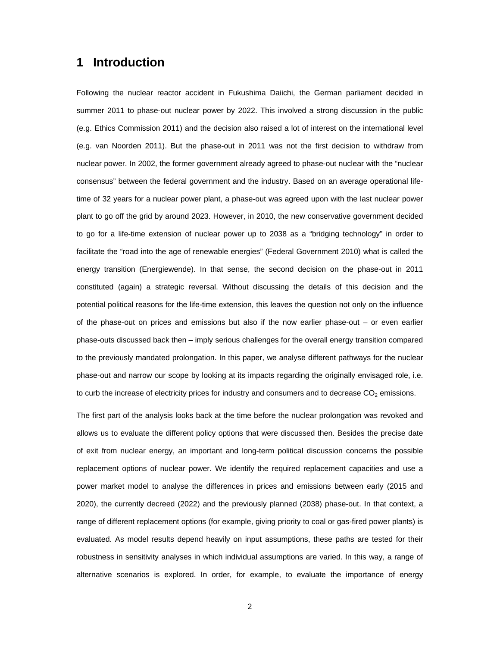## **1 Introduction**

Following the nuclear reactor accident in Fukushima Daiichi, the German parliament decided in summer 2011 to phase-out nuclear power by 2022. This involved a strong discussion in the public (e.g. Ethics Commission 2011) and the decision also raised a lot of interest on the international level (e.g. van Noorden 2011). But the phase-out in 2011 was not the first decision to withdraw from nuclear power. In 2002, the former government already agreed to phase-out nuclear with the "nuclear consensus" between the federal government and the industry. Based on an average operational lifetime of 32 years for a nuclear power plant, a phase-out was agreed upon with the last nuclear power plant to go off the grid by around 2023. However, in 2010, the new conservative government decided to go for a life-time extension of nuclear power up to 2038 as a "bridging technology" in order to facilitate the "road into the age of renewable energies" (Federal Government 2010) what is called the energy transition (Energiewende). In that sense, the second decision on the phase-out in 2011 constituted (again) a strategic reversal. Without discussing the details of this decision and the potential political reasons for the life-time extension, this leaves the question not only on the influence of the phase-out on prices and emissions but also if the now earlier phase-out – or even earlier phase-outs discussed back then – imply serious challenges for the overall energy transition compared to the previously mandated prolongation. In this paper, we analyse different pathways for the nuclear phase-out and narrow our scope by looking at its impacts regarding the originally envisaged role, i.e. to curb the increase of electricity prices for industry and consumers and to decrease  $CO<sub>2</sub>$  emissions.

The first part of the analysis looks back at the time before the nuclear prolongation was revoked and allows us to evaluate the different policy options that were discussed then. Besides the precise date of exit from nuclear energy, an important and long-term political discussion concerns the possible replacement options of nuclear power. We identify the required replacement capacities and use a power market model to analyse the differences in prices and emissions between early (2015 and 2020), the currently decreed (2022) and the previously planned (2038) phase-out. In that context, a range of different replacement options (for example, giving priority to coal or gas-fired power plants) is evaluated. As model results depend heavily on input assumptions, these paths are tested for their robustness in sensitivity analyses in which individual assumptions are varied. In this way, a range of alternative scenarios is explored. In order, for example, to evaluate the importance of energy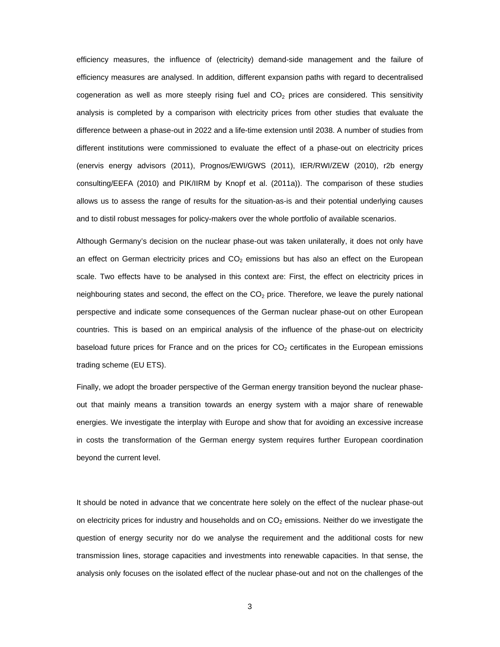efficiency measures, the influence of (electricity) demand-side management and the failure of efficiency measures are analysed. In addition, different expansion paths with regard to decentralised cogeneration as well as more steeply rising fuel and  $CO<sub>2</sub>$  prices are considered. This sensitivity analysis is completed by a comparison with electricity prices from other studies that evaluate the difference between a phase-out in 2022 and a life-time extension until 2038. A number of studies from different institutions were commissioned to evaluate the effect of a phase-out on electricity prices (enervis energy advisors (2011), Prognos/EWI/GWS (2011), IER/RWI/ZEW (2010), r2b energy consulting/EEFA (2010) and PIK/IIRM by Knopf et al. (2011a)). The comparison of these studies allows us to assess the range of results for the situation-as-is and their potential underlying causes and to distil robust messages for policy-makers over the whole portfolio of available scenarios.

Although Germany's decision on the nuclear phase-out was taken unilaterally, it does not only have an effect on German electricity prices and  $CO<sub>2</sub>$  emissions but has also an effect on the European scale. Two effects have to be analysed in this context are: First, the effect on electricity prices in neighbouring states and second, the effect on the  $CO<sub>2</sub>$  price. Therefore, we leave the purely national perspective and indicate some consequences of the German nuclear phase-out on other European countries. This is based on an empirical analysis of the influence of the phase-out on electricity baseload future prices for France and on the prices for  $CO<sub>2</sub>$  certificates in the European emissions trading scheme (EU ETS).

Finally, we adopt the broader perspective of the German energy transition beyond the nuclear phaseout that mainly means a transition towards an energy system with a major share of renewable energies. We investigate the interplay with Europe and show that for avoiding an excessive increase in costs the transformation of the German energy system requires further European coordination beyond the current level.

It should be noted in advance that we concentrate here solely on the effect of the nuclear phase-out on electricity prices for industry and households and on CO<sub>2</sub> emissions. Neither do we investigate the question of energy security nor do we analyse the requirement and the additional costs for new transmission lines, storage capacities and investments into renewable capacities. In that sense, the analysis only focuses on the isolated effect of the nuclear phase-out and not on the challenges of the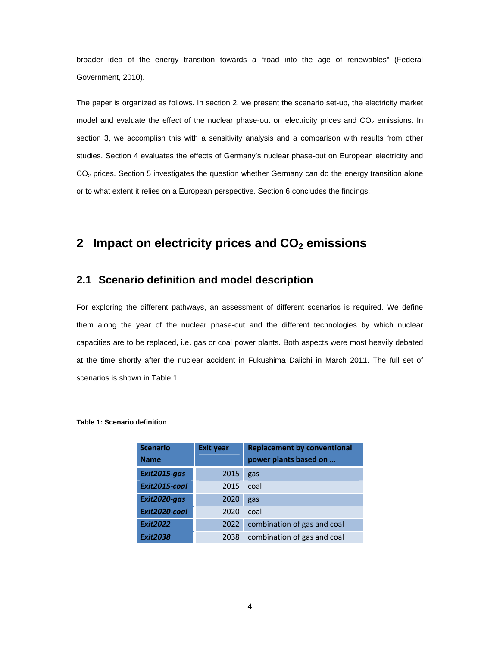broader idea of the energy transition towards a "road into the age of renewables" (Federal Government, 2010).

The paper is organized as follows. In section 2, we present the scenario set-up, the electricity market model and evaluate the effect of the nuclear phase-out on electricity prices and  $CO<sub>2</sub>$  emissions. In section 3, we accomplish this with a sensitivity analysis and a comparison with results from other studies. Section 4 evaluates the effects of Germany's nuclear phase-out on European electricity and CO<sub>2</sub> prices. Section 5 investigates the question whether Germany can do the energy transition alone or to what extent it relies on a European perspective. Section 6 concludes the findings.

## **2** Impact on electricity prices and CO<sub>2</sub> emissions

#### **2.1 Scenario definition and model description**

For exploring the different pathways, an assessment of different scenarios is required. We define them along the year of the nuclear phase-out and the different technologies by which nuclear capacities are to be replaced, i.e. gas or coal power plants. Both aspects were most heavily debated at the time shortly after the nuclear accident in Fukushima Daiichi in March 2011. The full set of scenarios is shown in Table 1.

| <b>Scenario</b> | <b>Exit year</b> | <b>Replacement by conventional</b> |  |
|-----------------|------------------|------------------------------------|--|
| <b>Name</b>     |                  | power plants based on              |  |
| Exit2015-gas    | 2015             | gas                                |  |
| Exit2015-coal   | 2015             | coal                               |  |
| Exit2020-gas    | 2020             | gas                                |  |
| Exit2020-coal   | 2020             | coal                               |  |
| <b>Exit2022</b> | 2022             | combination of gas and coal        |  |
| <b>Exit2038</b> | 2038             | combination of gas and coal        |  |

#### **Table 1: Scenario definition**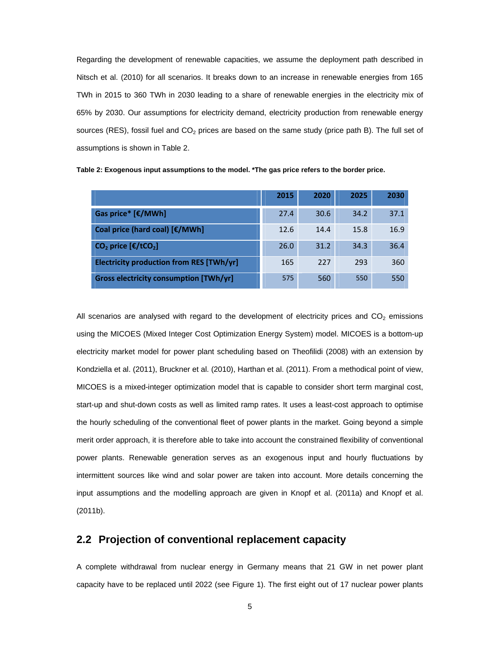Regarding the development of renewable capacities, we assume the deployment path described in Nitsch et al. (2010) for all scenarios. It breaks down to an increase in renewable energies from 165 TWh in 2015 to 360 TWh in 2030 leading to a share of renewable energies in the electricity mix of 65% by 2030. Our assumptions for electricity demand, electricity production from renewable energy sources (RES), fossil fuel and  $CO<sub>2</sub>$  prices are based on the same study (price path B). The full set of assumptions is shown in Table 2.

|                                                  | 2015 | 2020 | 2025 | 2030 |
|--------------------------------------------------|------|------|------|------|
| Gas price* [€/MWh]                               | 27.4 | 30.6 | 34.2 | 37.1 |
| Coal price (hard coal) [€/MWh]                   | 12.6 | 14.4 | 15.8 | 16.9 |
| $CO2$ price $[\text{\textsterling}/\text{t}CO2]$ | 26.0 | 31.2 | 34.3 | 36.4 |
| <b>Electricity production from RES [TWh/yr]</b>  | 165  | 227  | 293  | 360  |
| <b>Gross electricity consumption [TWh/yr]</b>    | 575  | 560  | 550  | 550  |

**Table 2: Exogenous input assumptions to the model. \*The gas price refers to the border price.** 

All scenarios are analysed with regard to the development of electricity prices and  $CO<sub>2</sub>$  emissions using the MICOES (Mixed Integer Cost Optimization Energy System) model. MICOES is a bottom-up electricity market model for power plant scheduling based on Theofilidi (2008) with an extension by Kondziella et al. (2011), Bruckner et al. (2010), Harthan et al. (2011). From a methodical point of view, MICOES is a mixed-integer optimization model that is capable to consider short term marginal cost, start-up and shut-down costs as well as limited ramp rates. It uses a least-cost approach to optimise the hourly scheduling of the conventional fleet of power plants in the market. Going beyond a simple merit order approach, it is therefore able to take into account the constrained flexibility of conventional power plants. Renewable generation serves as an exogenous input and hourly fluctuations by intermittent sources like wind and solar power are taken into account. More details concerning the input assumptions and the modelling approach are given in Knopf et al. (2011a) and Knopf et al. (2011b).

### **2.2 Projection of conventional replacement capacity**

A complete withdrawal from nuclear energy in Germany means that 21 GW in net power plant capacity have to be replaced until 2022 (see Figure 1). The first eight out of 17 nuclear power plants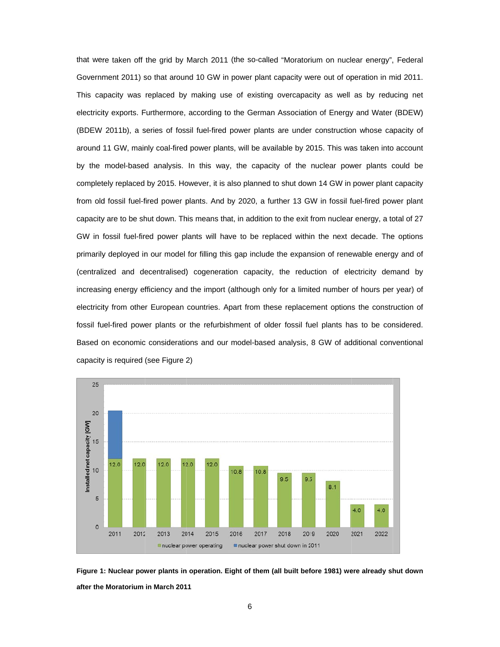that were taken off the grid by March 2011 (the so-called "Moratorium on nuclear energy", Federal Government 2011) so that around 10 GW in power plant capacity were out of operation in mid 2011. This capacity was replaced by making use of existing overcapacity as well as by reducing net electricity exports. Furthermore, according to the German Association of Energy and Water (BDEW) (BDEW 2011b), a series of fossil fuel-fired power plants are under construction whose capacity of around 11 GW, mainly coal-fired power plants, will be available by 2015. This was taken into account by the model-based analysis. In this way, the capacity of the nuclear power plants could be completely replaced by 2015. However, it is also planned to shut down 14 GW in power plant capacity from old fossil fuel-fired power plants. And by 2020, a further 13 GW in fossil fuel-fired power plant capacity are to be shut down. This means that, in addition to the exit from nuclear energy, a total of 27 GW in fossil fuel-fired power plants will have to be replaced within the next decade. The options primarily deployed in our model for filling this gap include the expansion of renewable energy and of (centralized and decentralised) cogeneration capacity, the reduction of electricity demand by increasing energy efficiency and the import (although only for a limited number of hours per year) of electricity from other European countries. Apart from these replacement options the construction of fossil fuel-fired power plants or the refurbishment of older fossil fuel plants has to be considered. Based on economic considerations and our model-based analysis, 8 GW of additional conventional capacity is required (see Figure 2)



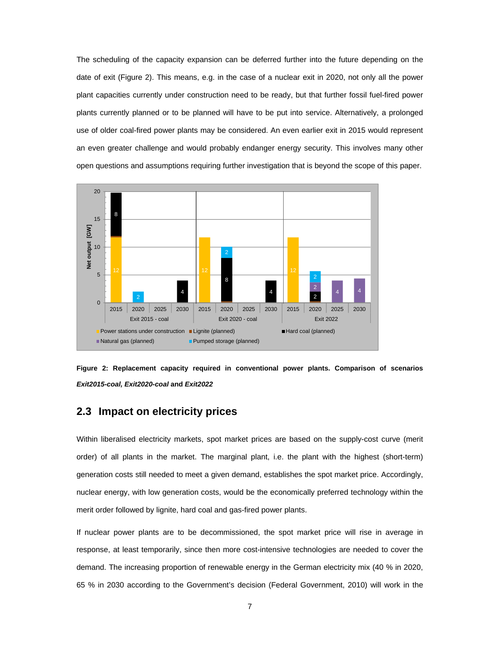The scheduling of the capacity expansion can be deferred further into the future depending on the date of exit (Figure 2). This means, e.g. in the case of a nuclear exit in 2020, not only all the power plant capacities currently under construction need to be ready, but that further fossil fuel-fired power plants currently planned or to be planned will have to be put into service. Alternatively, a prolonged use of older coal-fired power plants may be considered. An even earlier exit in 2015 would represent an even greater challenge and would probably endanger energy security. This involves many other open questions and assumptions requiring further investigation that is beyond the scope of this paper.





#### **2.3 Impact on electricity prices**

Within liberalised electricity markets, spot market prices are based on the supply-cost curve (merit order) of all plants in the market. The marginal plant, i.e. the plant with the highest (short-term) generation costs still needed to meet a given demand, establishes the spot market price. Accordingly, nuclear energy, with low generation costs, would be the economically preferred technology within the merit order followed by lignite, hard coal and gas-fired power plants.

If nuclear power plants are to be decommissioned, the spot market price will rise in average in response, at least temporarily, since then more cost-intensive technologies are needed to cover the demand. The increasing proportion of renewable energy in the German electricity mix (40 % in 2020, 65 % in 2030 according to the Government's decision (Federal Government, 2010) will work in the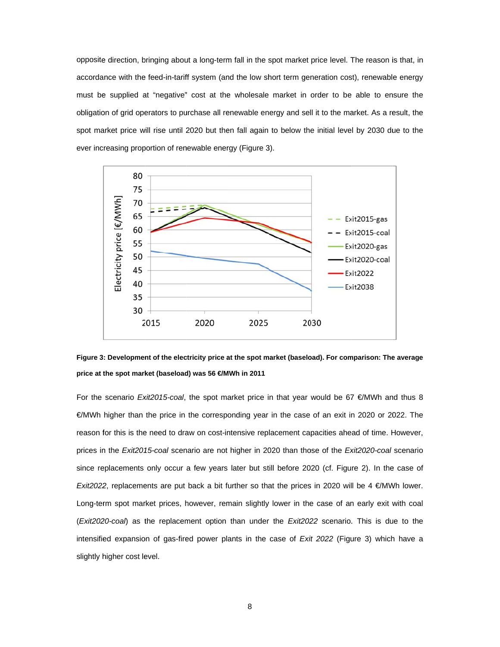opposite direction, bringing about a long-term fall in the spot market price level. The reason is that, in accordance with the feed-in-tariff system (and the low short term generation cost), renewable energy must be supplied at "negative" cost at the wholesale market in order to be able to ensure the obligation of grid operators to purchase all renewable energy and sell it to the market. As a result, the spot market price will rise until 2020 but then fall again to below the initial level by 2030 due to the ever increasing proportion of renewable energy (Figure 3).





For the scenario *Exit2015-coal*, the spot market price in that year would be 67 €/MWh and thus 8 €/MWh higher than the price in the corresponding year in the case of an exit in 2020 or 2022. The reason for this is the need to draw on cost-intensive replacement capacities ahead of time. However, prices in the *Exit2015-coal* scenario are not higher in 2020 than those of the *Exit2020-coal* scenario since replacements only occur a few years later but still before 2020 (cf. Figure 2). In the case of *Exit2022*, replacements are put back a bit further so that the prices in 2020 will be 4  $\epsilon$ /MWh lower. Long-term spot market prices, however, remain slightly lower in the case of an early exit with coal (*Exit2020-coal*) as the replacement option than under the *Exit2022* scenario. This is due to the intensified expansion of gas-fired power plants in the case of *Exit 2022* (Figure 3) which have a slightly higher cost level.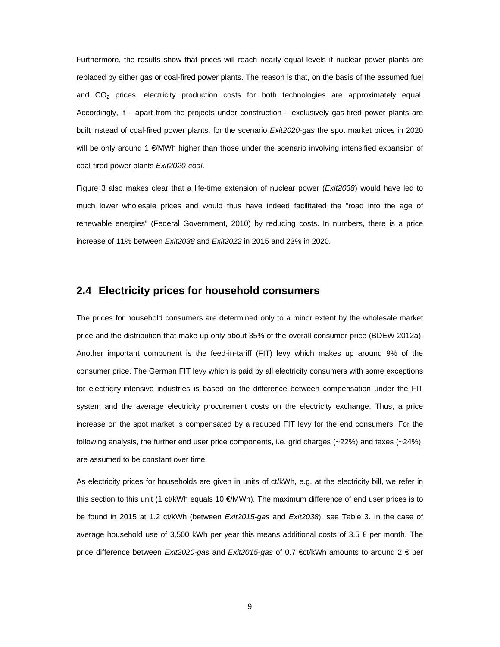Furthermore, the results show that prices will reach nearly equal levels if nuclear power plants are replaced by either gas or coal-fired power plants. The reason is that, on the basis of the assumed fuel and  $CO<sub>2</sub>$  prices, electricity production costs for both technologies are approximately equal. Accordingly, if – apart from the projects under construction – exclusively gas-fired power plants are built instead of coal-fired power plants, for the scenario *Exit2020-gas* the spot market prices in 2020 will be only around 1 €/MWh higher than those under the scenario involving intensified expansion of coal-fired power plants *Exit2020-coal*.

Figure 3 also makes clear that a life-time extension of nuclear power (*Exit2038*) would have led to much lower wholesale prices and would thus have indeed facilitated the "road into the age of renewable energies" (Federal Government, 2010) by reducing costs. In numbers, there is a price increase of 11% between *Exit2038* and *Exit2022* in 2015 and 23% in 2020.

#### **2.4 Electricity prices for household consumers**

The prices for household consumers are determined only to a minor extent by the wholesale market price and the distribution that make up only about 35% of the overall consumer price (BDEW 2012a). Another important component is the feed-in-tariff (FIT) levy which makes up around 9% of the consumer price. The German FIT levy which is paid by all electricity consumers with some exceptions for electricity-intensive industries is based on the difference between compensation under the FIT system and the average electricity procurement costs on the electricity exchange. Thus, a price increase on the spot market is compensated by a reduced FIT levy for the end consumers. For the following analysis, the further end user price components, i.e. grid charges (~22%) and taxes (~24%), are assumed to be constant over time.

As electricity prices for households are given in units of ct/kWh, e.g. at the electricity bill, we refer in this section to this unit (1 ct/kWh equals 10 €/MWh). The maximum difference of end user prices is to be found in 2015 at 1.2 ct/kWh (between *Exit2015-gas* and *Exit2038*), see Table 3. In the case of average household use of 3,500 kWh per year this means additional costs of 3.5  $\epsilon$  per month. The price difference between *Exit2020-gas* and *Exit2015-gas* of 0.7 €ct/kWh amounts to around 2 € per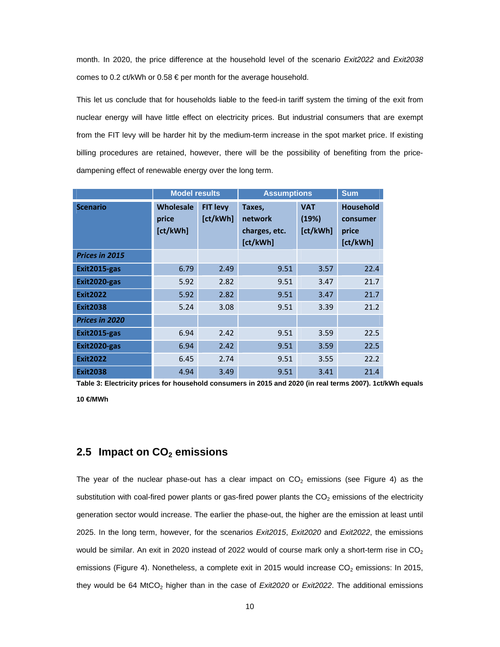month. In 2020, the price difference at the household level of the scenario *Exit2022* and *Exit2038* comes to 0.2 ct/kWh or 0.58 € per month for the average household.

This let us conclude that for households liable to the feed-in tariff system the timing of the exit from nuclear energy will have little effect on electricity prices. But industrial consumers that are exempt from the FIT levy will be harder hit by the medium-term increase in the spot market price. If existing billing procedures are retained, however, there will be the possibility of benefiting from the pricedampening effect of renewable energy over the long term.

|                       | <b>Model results</b>                  |                             | <b>Assumptions</b>                             | <b>Sum</b>                      |                                                   |
|-----------------------|---------------------------------------|-----------------------------|------------------------------------------------|---------------------------------|---------------------------------------------------|
| <b>Scenario</b>       | <b>Wholesale</b><br>price<br>[ct/kWh] | <b>FIT levy</b><br>[ct/kWh] | Taxes,<br>network<br>charges, etc.<br>[ct/kWh] | <b>VAT</b><br>(19%)<br>[ct/kWh] | <b>Household</b><br>consumer<br>price<br>[ct/kWh] |
| <b>Prices in 2015</b> |                                       |                             |                                                |                                 |                                                   |
| Exit2015-gas          | 6.79                                  | 2.49                        | 9.51                                           | 3.57                            | 22.4                                              |
| Exit2020-gas          | 5.92                                  | 2.82                        | 9.51                                           | 3.47                            | 21.7                                              |
| <b>Exit2022</b>       | 5.92                                  | 2.82                        | 9.51                                           | 3.47                            | 21.7                                              |
| <b>Exit2038</b>       | 5.24                                  | 3.08                        | 9.51                                           | 3.39                            | 21.2                                              |
| Prices in 2020        |                                       |                             |                                                |                                 |                                                   |
| Exit2015-gas          | 6.94                                  | 2.42                        | 9.51                                           | 3.59                            | 22.5                                              |
| Exit2020-gas          | 6.94                                  | 2.42                        | 9.51                                           | 3.59                            | 22.5                                              |
| <b>Exit2022</b>       | 6.45                                  | 2.74                        | 9.51                                           | 3.55                            | 22.2                                              |
| <b>Exit2038</b>       | 4.94                                  | 3.49                        | 9.51                                           | 3.41                            | 21.4                                              |

**Table 3: Electricity prices for household consumers in 2015 and 2020 (in real terms 2007). 1ct/kWh equals 10 €/MWh** 

#### **2.5 Impact on CO<sub>2</sub> emissions**

The year of the nuclear phase-out has a clear impact on  $CO<sub>2</sub>$  emissions (see Figure 4) as the substitution with coal-fired power plants or gas-fired power plants the  $CO<sub>2</sub>$  emissions of the electricity generation sector would increase. The earlier the phase-out, the higher are the emission at least until 2025. In the long term, however, for the scenarios *Exit2015*, *Exit2020* and *Exit2022*, the emissions would be similar. An exit in 2020 instead of 2022 would of course mark only a short-term rise in  $CO<sub>2</sub>$ emissions (Figure 4). Nonetheless, a complete exit in 2015 would increase  $CO<sub>2</sub>$  emissions: In 2015, they would be 64 MtCO<sub>2</sub> higher than in the case of *Exit2020* or *Exit2022*. The additional emissions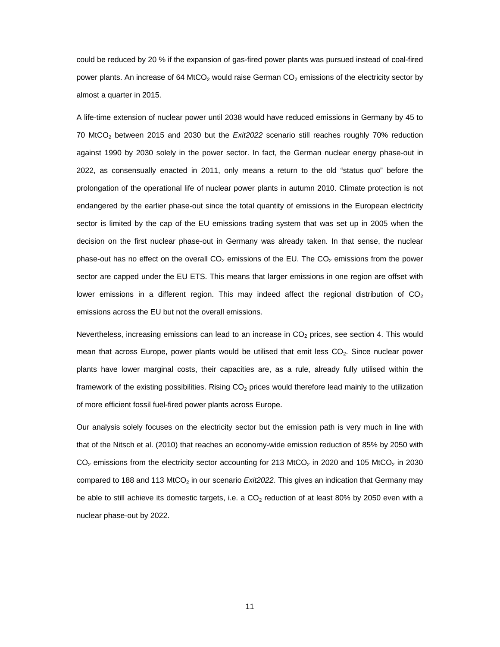could be reduced by 20 % if the expansion of gas-fired power plants was pursued instead of coal-fired power plants. An increase of 64 MtCO<sub>2</sub> would raise German CO<sub>2</sub> emissions of the electricity sector by almost a quarter in 2015.

A life-time extension of nuclear power until 2038 would have reduced emissions in Germany by 45 to 70 MtCO2 between 2015 and 2030 but the *Exit2022* scenario still reaches roughly 70% reduction against 1990 by 2030 solely in the power sector. In fact, the German nuclear energy phase-out in 2022, as consensually enacted in 2011, only means a return to the old "status quo" before the prolongation of the operational life of nuclear power plants in autumn 2010. Climate protection is not endangered by the earlier phase-out since the total quantity of emissions in the European electricity sector is limited by the cap of the EU emissions trading system that was set up in 2005 when the decision on the first nuclear phase-out in Germany was already taken. In that sense, the nuclear phase-out has no effect on the overall  $CO<sub>2</sub>$  emissions of the EU. The  $CO<sub>2</sub>$  emissions from the power sector are capped under the EU ETS. This means that larger emissions in one region are offset with lower emissions in a different region. This may indeed affect the regional distribution of  $CO<sub>2</sub>$ emissions across the EU but not the overall emissions.

Nevertheless, increasing emissions can lead to an increase in  $CO<sub>2</sub>$  prices, see section 4. This would mean that across Europe, power plants would be utilised that emit less  $CO<sub>2</sub>$ . Since nuclear power plants have lower marginal costs, their capacities are, as a rule, already fully utilised within the framework of the existing possibilities. Rising  $CO<sub>2</sub>$  prices would therefore lead mainly to the utilization of more efficient fossil fuel-fired power plants across Europe.

Our analysis solely focuses on the electricity sector but the emission path is very much in line with that of the Nitsch et al. (2010) that reaches an economy-wide emission reduction of 85% by 2050 with  $CO<sub>2</sub>$  emissions from the electricity sector accounting for 213 MtCO<sub>2</sub> in 2020 and 105 MtCO<sub>2</sub> in 2030 compared to 188 and 113 MtCO<sub>2</sub> in our scenario *Exit2022*. This gives an indication that Germany may be able to still achieve its domestic targets, i.e. a  $CO<sub>2</sub>$  reduction of at least 80% by 2050 even with a nuclear phase-out by 2022.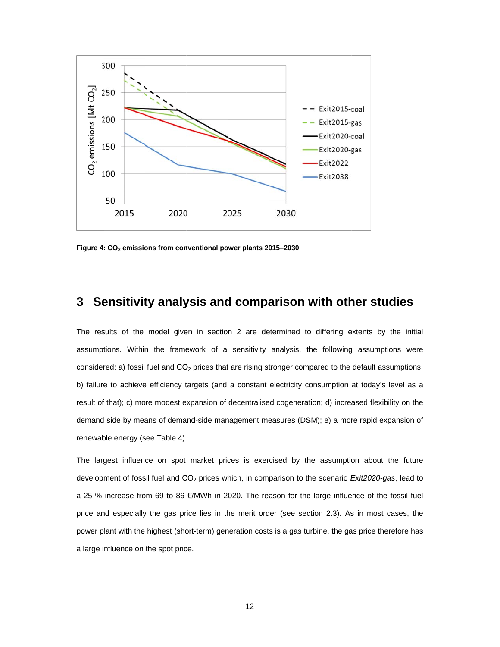

Figure 4: CO<sub>2</sub> emissions from conventional power plants 2015-2030

## **3** Sensitivity analysis and comparison with other studies

The results of the model given in section 2 are determined to differing extents by the initial assumptions. Within the framework of a sensitivity analysis, the following assumptions were considered: a) fossil fuel and  $CO<sub>2</sub>$  prices that are rising stronger compared to the default assumptions; b) failure to achieve efficiency targets (and a constant electricity consumption at today's level as a result of that); c) more modest expansion of decentralised cogeneration; d) increased flexibility on the demand side by means of demand-side management measures (DSM); e) a more rapid expansion of renewable energy (see Table 4).

The largest influence on spot market prices is exercised by the assumption about the future development of fossil fuel and CO<sub>2</sub> prices which, in comparison to the scenario *Exit2020-gas*, lead to a 25 % increase from 69 to 86 €/MWh in 2020. The reason for the large influence of the fossil fuel price and especially the gas price lies in the merit order (see section 2.3). As in most cases, the power plant with the highest (short-term) generation costs is a gas turbine, the gas price therefore has a large influence on the spot price.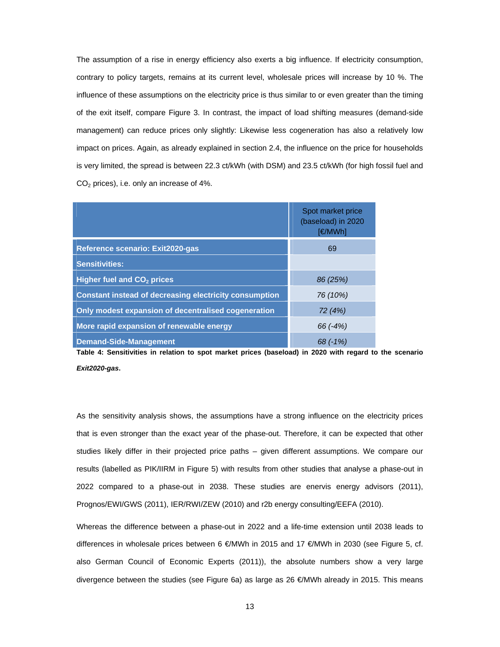The assumption of a rise in energy efficiency also exerts a big influence. If electricity consumption, contrary to policy targets, remains at its current level, wholesale prices will increase by 10 %. The influence of these assumptions on the electricity price is thus similar to or even greater than the timing of the exit itself, compare Figure 3. In contrast, the impact of load shifting measures (demand-side management) can reduce prices only slightly: Likewise less cogeneration has also a relatively low impact on prices. Again, as already explained in section 2.4, the influence on the price for households is very limited, the spread is between 22.3 ct/kWh (with DSM) and 23.5 ct/kWh (for high fossil fuel and  $CO<sub>2</sub>$  prices), i.e. only an increase of 4%.

|                                                               | Spot market price<br>(baseload) in 2020<br>[€/MWh] |
|---------------------------------------------------------------|----------------------------------------------------|
| Reference scenario: Exit2020-gas                              | 69                                                 |
| <b>Sensitivities:</b>                                         |                                                    |
| <b>Higher fuel and CO<sub>2</sub> prices</b>                  | 86 (25%)                                           |
| <b>Constant instead of decreasing electricity consumption</b> | 76 (10%)                                           |
| Only modest expansion of decentralised cogeneration           | 72 (4%)                                            |
| More rapid expansion of renewable energy                      | 66 (-4%)                                           |
| <b>Demand-Side-Management</b>                                 | $68(-1%)$                                          |

**Table 4: Sensitivities in relation to spot market prices (baseload) in 2020 with regard to the scenario**  *Exit2020-gas***.** 

As the sensitivity analysis shows, the assumptions have a strong influence on the electricity prices that is even stronger than the exact year of the phase-out. Therefore, it can be expected that other studies likely differ in their projected price paths – given different assumptions. We compare our results (labelled as PIK/IIRM in Figure 5) with results from other studies that analyse a phase-out in 2022 compared to a phase-out in 2038. These studies are enervis energy advisors (2011), Prognos/EWI/GWS (2011), IER/RWI/ZEW (2010) and r2b energy consulting/EEFA (2010).

Whereas the difference between a phase-out in 2022 and a life-time extension until 2038 leads to differences in wholesale prices between 6 €/MWh in 2015 and 17 €/MWh in 2030 (see Figure 5, cf. also German Council of Economic Experts (2011)), the absolute numbers show a very large divergence between the studies (see Figure 6a) as large as 26 €/MWh already in 2015. This means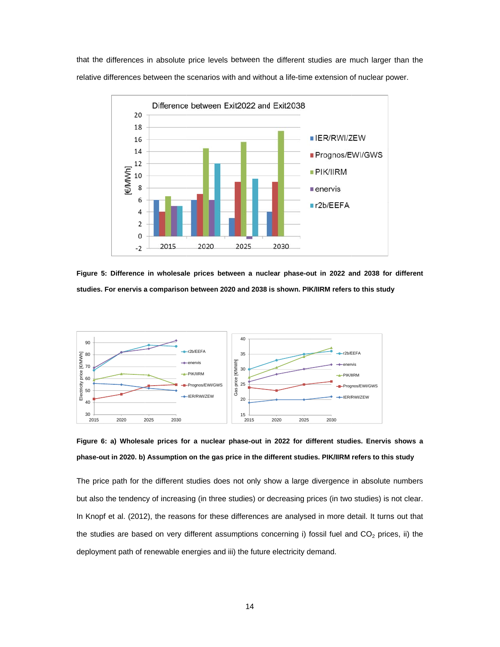that the differences in absolute price levels between the different studies are much larger than the relative differences between the scenarios with and without a life-time extension of nuclear power.



Figure 5: Difference in wholesale prices between a nuclear phase-out in 2022 and 2038 for different **studies. For enervis a a comparison n between 20 20 and 2038 is shown. PIK K/IIRM refers to this study**



Figure 6: a) Wholesale prices for a nuclear phase-out in 2022 for different studies. Enervis phase-out in 2020. b) Assumption on the gas price in the different studies. PIK/IIRM refers to this study

The price path for the different studies does not only show a large divergence in absolute numbers but also the tendency of increasing (in three studies) or decreasing prices (in two studies) is not clear. In Knopf et al. (2012), the reasons for these differences are analysed in more detail. It turns out that the studies are based on very different assumptions concerning i) fossil fuel and CO<sub>2</sub> prices, ii) the deployment path of renewable energies and iii) the future electricity demand.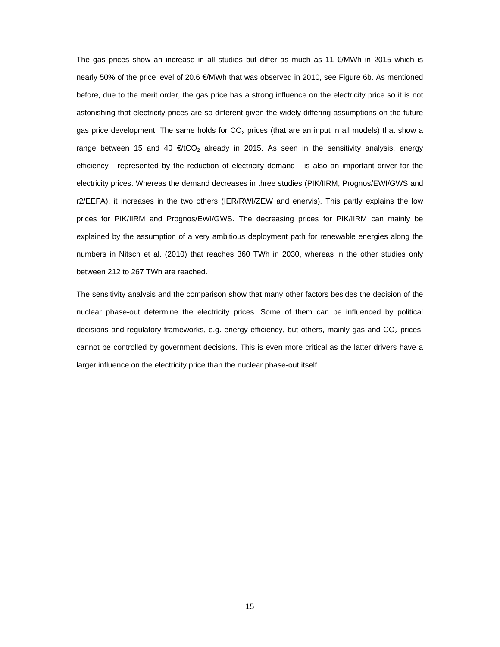The gas prices show an increase in all studies but differ as much as 11 €/MWh in 2015 which is nearly 50% of the price level of 20.6 €/MWh that was observed in 2010, see Figure 6b. As mentioned before, due to the merit order, the gas price has a strong influence on the electricity price so it is not astonishing that electricity prices are so different given the widely differing assumptions on the future gas price development. The same holds for  $CO<sub>2</sub>$  prices (that are an input in all models) that show a range between 15 and 40  $\epsilon$ /tCO<sub>2</sub> already in 2015. As seen in the sensitivity analysis, energy efficiency - represented by the reduction of electricity demand - is also an important driver for the electricity prices. Whereas the demand decreases in three studies (PIK/IIRM, Prognos/EWI/GWS and r2/EEFA), it increases in the two others (IER/RWI/ZEW and enervis). This partly explains the low prices for PIK/IIRM and Prognos/EWI/GWS. The decreasing prices for PIK/IIRM can mainly be explained by the assumption of a very ambitious deployment path for renewable energies along the numbers in Nitsch et al. (2010) that reaches 360 TWh in 2030, whereas in the other studies only between 212 to 267 TWh are reached.

The sensitivity analysis and the comparison show that many other factors besides the decision of the nuclear phase-out determine the electricity prices. Some of them can be influenced by political decisions and regulatory frameworks, e.g. energy efficiency, but others, mainly gas and  $CO<sub>2</sub>$  prices, cannot be controlled by government decisions. This is even more critical as the latter drivers have a larger influence on the electricity price than the nuclear phase-out itself.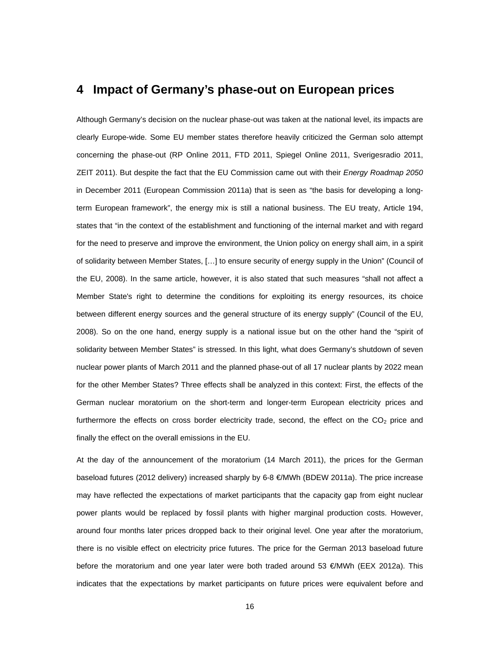## **4 Impact of Germany's phase-out on European prices**

Although Germany's decision on the nuclear phase-out was taken at the national level, its impacts are clearly Europe-wide. Some EU member states therefore heavily criticized the German solo attempt concerning the phase-out (RP Online 2011, FTD 2011, Spiegel Online 2011, Sverigesradio 2011, ZEIT 2011). But despite the fact that the EU Commission came out with their *Energy Roadmap 2050* in December 2011 (European Commission 2011a) that is seen as "the basis for developing a longterm European framework", the energy mix is still a national business. The EU treaty, Article 194, states that "in the context of the establishment and functioning of the internal market and with regard for the need to preserve and improve the environment, the Union policy on energy shall aim, in a spirit of solidarity between Member States, […] to ensure security of energy supply in the Union" (Council of the EU, 2008). In the same article, however, it is also stated that such measures "shall not affect a Member State's right to determine the conditions for exploiting its energy resources, its choice between different energy sources and the general structure of its energy supply" (Council of the EU, 2008). So on the one hand, energy supply is a national issue but on the other hand the "spirit of solidarity between Member States" is stressed. In this light, what does Germany's shutdown of seven nuclear power plants of March 2011 and the planned phase-out of all 17 nuclear plants by 2022 mean for the other Member States? Three effects shall be analyzed in this context: First, the effects of the German nuclear moratorium on the short-term and longer-term European electricity prices and furthermore the effects on cross border electricity trade, second, the effect on the  $CO<sub>2</sub>$  price and finally the effect on the overall emissions in the EU.

At the day of the announcement of the moratorium (14 March 2011), the prices for the German baseload futures (2012 delivery) increased sharply by 6-8 €/MWh (BDEW 2011a). The price increase may have reflected the expectations of market participants that the capacity gap from eight nuclear power plants would be replaced by fossil plants with higher marginal production costs. However, around four months later prices dropped back to their original level. One year after the moratorium, there is no visible effect on electricity price futures. The price for the German 2013 baseload future before the moratorium and one year later were both traded around 53  $\epsilon/MWh$  (EEX 2012a). This indicates that the expectations by market participants on future prices were equivalent before and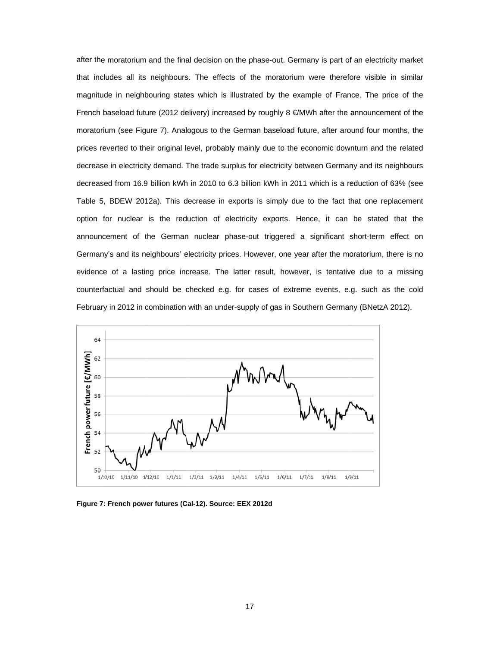after the moratorium and the final decision on the phase-out. Germany is part of an electricity market that includes all its neighbours. The effects of the moratorium were therefore visible in similar magnitude in neighbouring states which is illustrated by the example of France. The price of the French baseload future (2012 delivery) increased by roughly 8 €/MWh after the announcement of the moratorium (see Figure 7). Analogous to the German baseload future, after around four months, the prices reverted to their original level, probably mainly due to the economic downturn and the related decrease in electricity demand. The trade surplus for electricity between Germany and its neighbours decreased from 16.9 billion kWh in 2010 to 6.3 billion kWh in 2011 which is a reduction of 63% (see Table 5, BDEW 2012a). This decrease in exports is simply due to the fact that one replacement option for nuclear is the reduction of electricity exports. Hence, it can be stated that the announcement of the German nuclear phase-out triggered a significant short-term effect on Germany's and its neighbours' electricity prices. However, one year after the moratorium, there is no evidence of a lasting price increase. The latter result, however, is tentative due to a missing counterfactual and should be checked e.g. for cases of extreme events, e.g. such as the cold February in 2012 in combination with an under-supply of gas in Southern Germany (BNetzA 2012).



Figure 7: French power futures (Cal-12). Source: EEX 2012d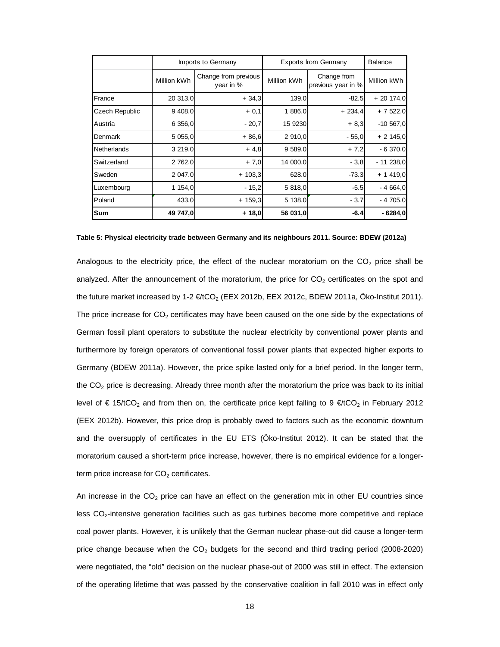|                       | Imports to Germany |                                   | <b>Exports from Germany</b> |                                   | <b>Balance</b> |
|-----------------------|--------------------|-----------------------------------|-----------------------------|-----------------------------------|----------------|
|                       | Million kWh        | Change from previous<br>year in % | Million kWh                 | Change from<br>previous year in % | Million kWh    |
| France                | 20 313.0           | $+34,3$                           | 139.0                       | $-82.5$                           | $+20174,0$     |
| <b>Czech Republic</b> | 9,408,0            | $+0,1$                            | 1886,0                      | $+234,4$                          | $+7522,0$      |
| Austria               | 6 356,0            | $-20,7$                           | 15 9230                     | $+8,3$                            | $-10,567,0$    |
| Denmark               | 5 0 5 5 , 0        | $+86,6$                           | 2 910,0                     | $-55,0$                           | $+2145,0$      |
| Netherlands           | 3 2 1 9 , 0        | $+4,8$                            | 9 589,0                     | $+7,2$                            | $-6370,0$      |
| <b>Switzerland</b>    | 2 762,0            | $+7,0$                            | 14 000,0                    | $-3,8$                            | $-11238,0$     |
| Sweden                | 2 047.0            | $+103,3$                          | 628.0                       | $-73.3$                           | $+ 1419,0$     |
| Luxembourg            | 1 154,0            | $-15,2$                           | 5 818,0                     | $-5.5$                            | $-4664,0$      |
| Poland                | 433.0              | $+159.3$                          | 5 138,0                     | $-3.7$                            | $-4705,0$      |
| <b>Sum</b>            | 49 747,0           | $+18,0$                           | 56 031,0                    | $-6.4$                            | $-6284,0$      |

**Table 5: Physical electricity trade between Germany and its neighbours 2011. Source: BDEW (2012a)** 

Analogous to the electricity price, the effect of the nuclear moratorium on the  $CO<sub>2</sub>$  price shall be analyzed. After the announcement of the moratorium, the price for  $CO<sub>2</sub>$  certificates on the spot and the future market increased by 1-2  $\in$  tCO<sub>2</sub> (EEX 2012b, EEX 2012c, BDEW 2011a, Öko-Institut 2011). The price increase for  $CO<sub>2</sub>$  certificates may have been caused on the one side by the expectations of German fossil plant operators to substitute the nuclear electricity by conventional power plants and furthermore by foreign operators of conventional fossil power plants that expected higher exports to Germany (BDEW 2011a). However, the price spike lasted only for a brief period. In the longer term, the  $CO<sub>2</sub>$  price is decreasing. Already three month after the moratorium the price was back to its initial level of  $\epsilon$  15/tCO<sub>2</sub> and from then on, the certificate price kept falling to 9  $\epsilon$ /tCO<sub>2</sub> in February 2012 (EEX 2012b). However, this price drop is probably owed to factors such as the economic downturn and the oversupply of certificates in the EU ETS (Öko-Institut 2012). It can be stated that the moratorium caused a short-term price increase, however, there is no empirical evidence for a longerterm price increase for  $CO<sub>2</sub>$  certificates.

An increase in the  $CO<sub>2</sub>$  price can have an effect on the generation mix in other EU countries since less CO<sub>2</sub>-intensive generation facilities such as gas turbines become more competitive and replace coal power plants. However, it is unlikely that the German nuclear phase-out did cause a longer-term price change because when the  $CO<sub>2</sub>$  budgets for the second and third trading period (2008-2020) were negotiated, the "old" decision on the nuclear phase-out of 2000 was still in effect. The extension of the operating lifetime that was passed by the conservative coalition in fall 2010 was in effect only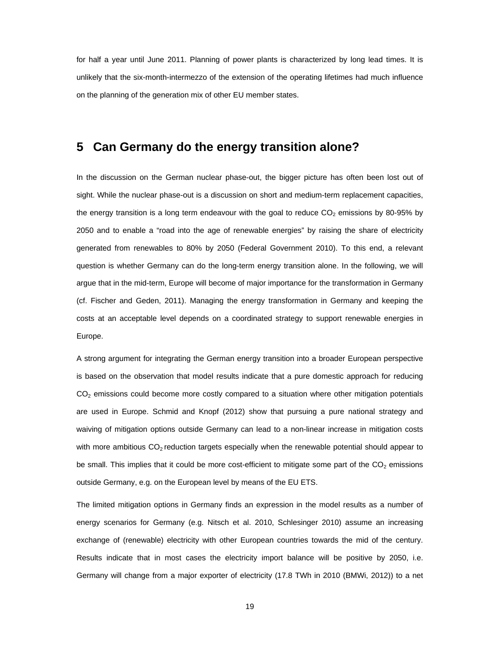for half a year until June 2011. Planning of power plants is characterized by long lead times. It is unlikely that the six-month-intermezzo of the extension of the operating lifetimes had much influence on the planning of the generation mix of other EU member states.

## **5 Can Germany do the energy transition alone?**

In the discussion on the German nuclear phase-out, the bigger picture has often been lost out of sight. While the nuclear phase-out is a discussion on short and medium-term replacement capacities, the energy transition is a long term endeavour with the goal to reduce  $CO<sub>2</sub>$  emissions by 80-95% by 2050 and to enable a "road into the age of renewable energies" by raising the share of electricity generated from renewables to 80% by 2050 (Federal Government 2010). To this end, a relevant question is whether Germany can do the long-term energy transition alone. In the following, we will argue that in the mid-term, Europe will become of major importance for the transformation in Germany (cf. Fischer and Geden, 2011). Managing the energy transformation in Germany and keeping the costs at an acceptable level depends on a coordinated strategy to support renewable energies in Europe.

A strong argument for integrating the German energy transition into a broader European perspective is based on the observation that model results indicate that a pure domestic approach for reducing  $CO<sub>2</sub>$  emissions could become more costly compared to a situation where other mitigation potentials are used in Europe. Schmid and Knopf (2012) show that pursuing a pure national strategy and waiving of mitigation options outside Germany can lead to a non-linear increase in mitigation costs with more ambitious  $CO<sub>2</sub>$  reduction targets especially when the renewable potential should appear to be small. This implies that it could be more cost-efficient to mitigate some part of the  $CO<sub>2</sub>$  emissions outside Germany, e.g. on the European level by means of the EU ETS.

The limited mitigation options in Germany finds an expression in the model results as a number of energy scenarios for Germany (e.g. Nitsch et al. 2010, Schlesinger 2010) assume an increasing exchange of (renewable) electricity with other European countries towards the mid of the century. Results indicate that in most cases the electricity import balance will be positive by 2050, i.e. Germany will change from a major exporter of electricity (17.8 TWh in 2010 (BMWi, 2012)) to a net

19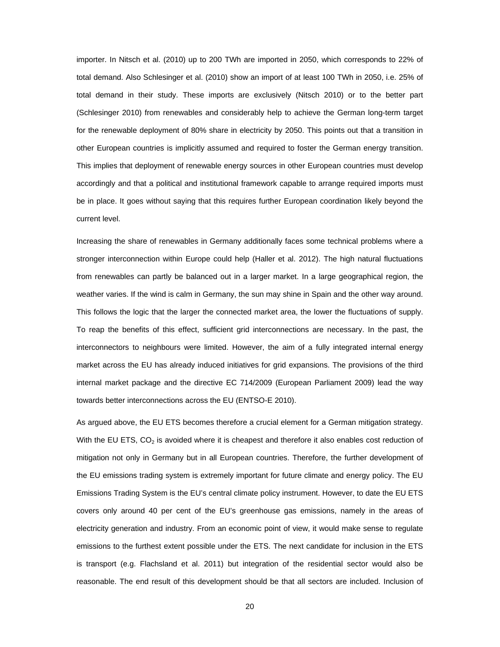importer. In Nitsch et al. (2010) up to 200 TWh are imported in 2050, which corresponds to 22% of total demand. Also Schlesinger et al. (2010) show an import of at least 100 TWh in 2050, i.e. 25% of total demand in their study. These imports are exclusively (Nitsch 2010) or to the better part (Schlesinger 2010) from renewables and considerably help to achieve the German long-term target for the renewable deployment of 80% share in electricity by 2050. This points out that a transition in other European countries is implicitly assumed and required to foster the German energy transition. This implies that deployment of renewable energy sources in other European countries must develop accordingly and that a political and institutional framework capable to arrange required imports must be in place. It goes without saying that this requires further European coordination likely beyond the current level.

Increasing the share of renewables in Germany additionally faces some technical problems where a stronger interconnection within Europe could help (Haller et al. 2012). The high natural fluctuations from renewables can partly be balanced out in a larger market. In a large geographical region, the weather varies. If the wind is calm in Germany, the sun may shine in Spain and the other way around. This follows the logic that the larger the connected market area, the lower the fluctuations of supply. To reap the benefits of this effect, sufficient grid interconnections are necessary. In the past, the interconnectors to neighbours were limited. However, the aim of a fully integrated internal energy market across the EU has already induced initiatives for grid expansions. The provisions of the third internal market package and the directive EC 714/2009 (European Parliament 2009) lead the way towards better interconnections across the EU (ENTSO-E 2010).

As argued above, the EU ETS becomes therefore a crucial element for a German mitigation strategy. With the EU ETS,  $CO<sub>2</sub>$  is avoided where it is cheapest and therefore it also enables cost reduction of mitigation not only in Germany but in all European countries. Therefore, the further development of the EU emissions trading system is extremely important for future climate and energy policy. The EU Emissions Trading System is the EU's central climate policy instrument. However, to date the EU ETS covers only around 40 per cent of the EU's greenhouse gas emissions, namely in the areas of electricity generation and industry. From an economic point of view, it would make sense to regulate emissions to the furthest extent possible under the ETS. The next candidate for inclusion in the ETS is transport (e.g. Flachsland et al. 2011) but integration of the residential sector would also be reasonable. The end result of this development should be that all sectors are included. Inclusion of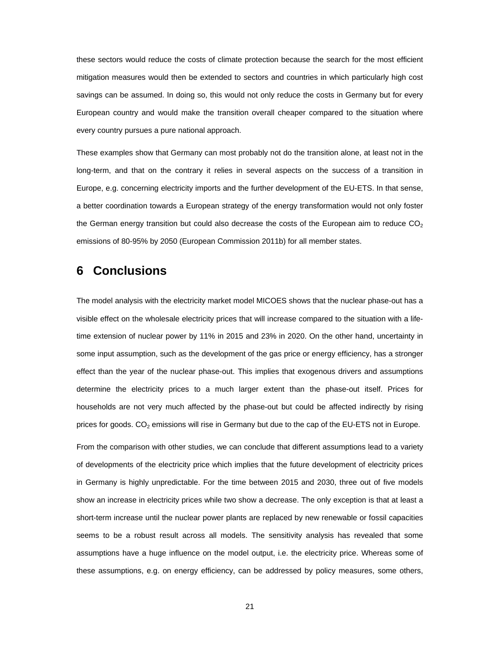these sectors would reduce the costs of climate protection because the search for the most efficient mitigation measures would then be extended to sectors and countries in which particularly high cost savings can be assumed. In doing so, this would not only reduce the costs in Germany but for every European country and would make the transition overall cheaper compared to the situation where every country pursues a pure national approach.

These examples show that Germany can most probably not do the transition alone, at least not in the long-term, and that on the contrary it relies in several aspects on the success of a transition in Europe, e.g. concerning electricity imports and the further development of the EU-ETS. In that sense, a better coordination towards a European strategy of the energy transformation would not only foster the German energy transition but could also decrease the costs of the European aim to reduce  $CO<sub>2</sub>$ emissions of 80-95% by 2050 (European Commission 2011b) for all member states.

## **6 Conclusions**

The model analysis with the electricity market model MICOES shows that the nuclear phase-out has a visible effect on the wholesale electricity prices that will increase compared to the situation with a lifetime extension of nuclear power by 11% in 2015 and 23% in 2020. On the other hand, uncertainty in some input assumption, such as the development of the gas price or energy efficiency, has a stronger effect than the year of the nuclear phase-out. This implies that exogenous drivers and assumptions determine the electricity prices to a much larger extent than the phase-out itself. Prices for households are not very much affected by the phase-out but could be affected indirectly by rising prices for goods.  $CO<sub>2</sub>$  emissions will rise in Germany but due to the cap of the EU-ETS not in Europe.

From the comparison with other studies, we can conclude that different assumptions lead to a variety of developments of the electricity price which implies that the future development of electricity prices in Germany is highly unpredictable. For the time between 2015 and 2030, three out of five models show an increase in electricity prices while two show a decrease. The only exception is that at least a short-term increase until the nuclear power plants are replaced by new renewable or fossil capacities seems to be a robust result across all models. The sensitivity analysis has revealed that some assumptions have a huge influence on the model output, i.e. the electricity price. Whereas some of these assumptions, e.g. on energy efficiency, can be addressed by policy measures, some others,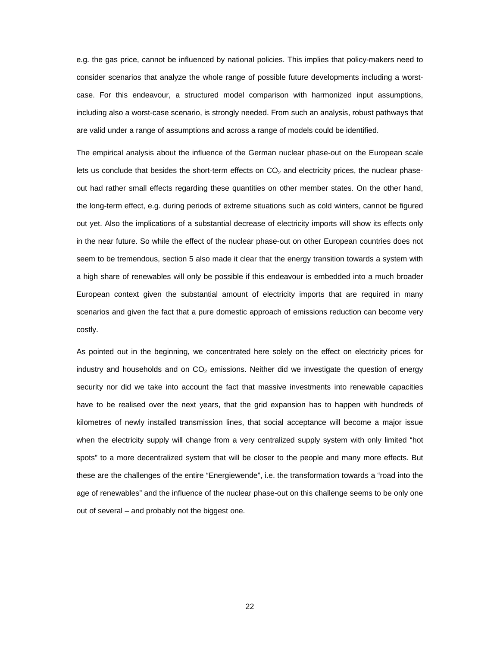e.g. the gas price, cannot be influenced by national policies. This implies that policy-makers need to consider scenarios that analyze the whole range of possible future developments including a worstcase. For this endeavour, a structured model comparison with harmonized input assumptions, including also a worst-case scenario, is strongly needed. From such an analysis, robust pathways that are valid under a range of assumptions and across a range of models could be identified.

The empirical analysis about the influence of the German nuclear phase-out on the European scale lets us conclude that besides the short-term effects on  $CO<sub>2</sub>$  and electricity prices, the nuclear phaseout had rather small effects regarding these quantities on other member states. On the other hand, the long-term effect, e.g. during periods of extreme situations such as cold winters, cannot be figured out yet. Also the implications of a substantial decrease of electricity imports will show its effects only in the near future. So while the effect of the nuclear phase-out on other European countries does not seem to be tremendous, section 5 also made it clear that the energy transition towards a system with a high share of renewables will only be possible if this endeavour is embedded into a much broader European context given the substantial amount of electricity imports that are required in many scenarios and given the fact that a pure domestic approach of emissions reduction can become very costly.

As pointed out in the beginning, we concentrated here solely on the effect on electricity prices for industry and households and on  $CO<sub>2</sub>$  emissions. Neither did we investigate the question of energy security nor did we take into account the fact that massive investments into renewable capacities have to be realised over the next years, that the grid expansion has to happen with hundreds of kilometres of newly installed transmission lines, that social acceptance will become a major issue when the electricity supply will change from a very centralized supply system with only limited "hot spots" to a more decentralized system that will be closer to the people and many more effects. But these are the challenges of the entire "Energiewende", i.e. the transformation towards a "road into the age of renewables" and the influence of the nuclear phase-out on this challenge seems to be only one out of several – and probably not the biggest one.

22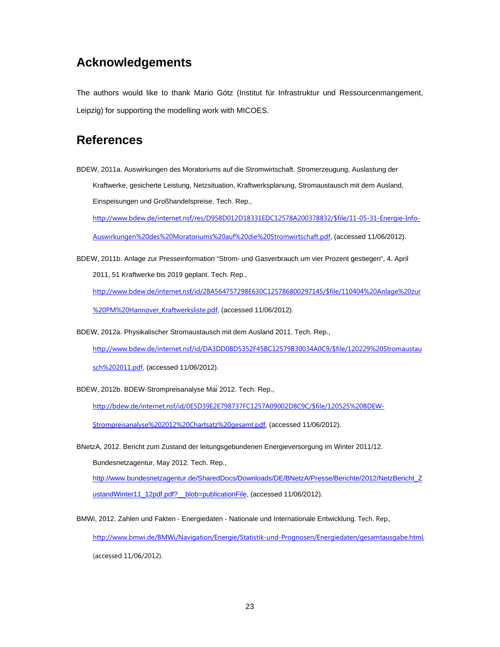# **Acknowledgements**

The authors would like to thank Mario Götz (Institut für Infrastruktur und Ressourcenmangement, Leipzig) for supporting the modelling work with MICOES.

## **References**

BDEW, 2011a. Auswirkungen des Moratoriums auf die Stromwirtschaft. Stromerzeugung, Auslastung der Kraftwerke, gesicherte Leistung, Netzsituation, Kraftwerksplanung, Stromaustausch mit dem Ausland, Einspeisungen und Großhandelspreise. Tech. Rep.,

http://www.bdew.de/internet.nsf/res/D958D012D18331EDC12578A200378832/\$file/11-05-31-Energie-Info-

Auswirkungen%20des%20Moratoriums%20auf%20die%20Stromwirtschaft.pdf, (accessed 11/06/2012).

BDEW, 2011b. Anlage zur Presseinformation "Strom- und Gasverbrauch um vier Prozent gestiegen", 4. April 2011, 51 Kraftwerke bis 2019 geplant. Tech. Rep.,

http://www.bdew.de/internet.nsf/id/28A564757298E630C125786800297145/\$file/110404%20Anlage%20zur %20PM%20Hannover\_Kraftwerksliste.pdf, (accessed 11/06/2012).

BDEW, 2012a. Physikalischer Stromaustausch mit dem Ausland 2011. Tech. Rep.,

http://www.bdew.de/internet.nsf/id/DA3DD0BD5352F45BC12579B30034A0C9/\$file/120229%20Stromaustau

sch%202011.pdf, (accessed 11/06/2012).

BDEW, 2012b. BDEW-Strompreisanalyse Mai 2012. Tech. Rep.,

http://bdew.de/internet.nsf/id/0E5D39E2E798737FC1257A09002D8C9C/\$file/120525%20BDEW-

Strompreisanalyse%202012%20Chartsatz%20gesamt.pdf, (accessed 11/06/2012).

BNetzA, 2012. Bericht zum Zustand der leitungsgebundenen Energieversorgung im Winter 2011/12.

Bundesnetzagentur, May 2012. Tech. Rep.,

http://www.bundesnetzagentur.de/SharedDocs/Downloads/DE/BNetzA/Presse/Berichte/2012/NetzBericht\_Z ustandWinter11\_12pdf.pdf? \_blob=publicationFile, (accessed 11/06/2012).

BMWi, 2012. Zahlen und Fakten - Energiedaten - Nationale und Internationale Entwicklung. Tech. Rep.,

http://www.bmwi.de/BMWi/Navigation/Energie/Statistik-und-Prognosen/Energiedaten/gesamtausgabe.html, (accessed 11/06/2012).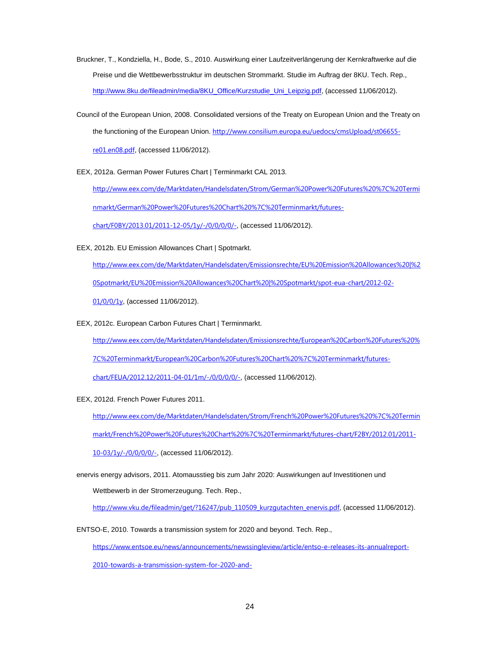- Bruckner, T., Kondziella, H., Bode, S., 2010. Auswirkung einer Laufzeitverlängerung der Kernkraftwerke auf die Preise und die Wettbewerbsstruktur im deutschen Strommarkt. Studie im Auftrag der 8KU. Tech. Rep., http://www.8ku.de/fileadmin/media/8KU\_Office/Kurzstudie\_Uni\_Leipzig.pdf, (accessed 11/06/2012).
- Council of the European Union, 2008. Consolidated versions of the Treaty on European Union and the Treaty on the functioning of the European Union. http://www.consilium.europa.eu/uedocs/cmsUpload/st06655re01.en08.pdf, (accessed 11/06/2012).
- EEX, 2012a. German Power Futures Chart | Terminmarkt CAL 2013.

http://www.eex.com/de/Marktdaten/Handelsdaten/Strom/German%20Power%20Futures%20%7C%20Termi nmarkt/German%20Power%20Futures%20Chart%20%7C%20Terminmarkt/futures-

chart/F0BY/2013.01/2011-12-05/1y/-/0/0/0/0/-, (accessed 11/06/2012).

EEX, 2012b. EU Emission Allowances Chart | Spotmarkt.

http://www.eex.com/de/Marktdaten/Handelsdaten/Emissionsrechte/EU%20Emission%20Allowances%20|%2 0Spotmarkt/EU%20Emission%20Allowances%20Chart%20|%20Spotmarkt/spot-eua-chart/2012-02- 01/0/0/1y, (accessed 11/06/2012).

EEX, 2012c. European Carbon Futures Chart | Terminmarkt.

http://www.eex.com/de/Marktdaten/Handelsdaten/Emissionsrechte/European%20Carbon%20Futures%20% 7C%20Terminmarkt/European%20Carbon%20Futures%20Chart%20%7C%20Terminmarkt/futures-

chart/FEUA/2012.12/2011-04-01/1m/-/0/0/0/0/-, (accessed 11/06/2012).

EEX, 2012d. French Power Futures 2011.

http://www.eex.com/de/Marktdaten/Handelsdaten/Strom/French%20Power%20Futures%20%7C%20Termin markt/French%20Power%20Futures%20Chart%20%7C%20Terminmarkt/futures-chart/F2BY/2012.01/2011-

10-03/1y/-/0/0/0/0/-, (accessed 11/06/2012).

enervis energy advisors, 2011. Atomausstieg bis zum Jahr 2020: Auswirkungen auf Investitionen und Wettbewerb in der Stromerzeugung. Tech. Rep.,

http://www.vku.de/fileadmin/get/?16247/pub\_110509\_kurzgutachten\_enervis.pdf, (accessed 11/06/2012).

ENTSO-E, 2010. Towards a transmission system for 2020 and beyond. Tech. Rep.,

https://www.entsoe.eu/news/announcements/newssingleview/article/entso-e-releases-its-annualreport-

2010-towards-a-transmission-system-for-2020-and-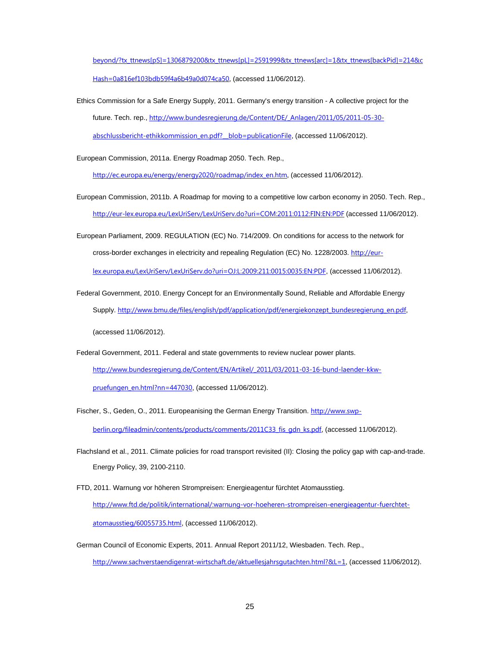beyond/?tx\_ttnews[pS]=1306879200&tx\_ttnews[pL]=2591999&tx\_ttnews[arc]=1&tx\_ttnews[backPid]=214&c Hash=0a816ef103bdb59f4a6b49a0d074ca50, (accessed 11/06/2012).

Ethics Commission for a Safe Energy Supply, 2011. Germany's energy transition - A collective project for the future. Tech. rep., http://www.bundesregierung.de/Content/DE/\_Anlagen/2011/05/2011-05-30 abschlussbericht-ethikkommission\_en.pdf?\_\_blob=publicationFile, (accessed 11/06/2012).

European Commission, 2011a. Energy Roadmap 2050. Tech. Rep.,

http://ec.europa.eu/energy/energy2020/roadmap/index\_en.htm, (accessed 11/06/2012).

- European Commission, 2011b. A Roadmap for moving to a competitive low carbon economy in 2050. Tech. Rep., http://eur-lex.europa.eu/LexUriServ/LexUriServ.do?uri=COM:2011:0112:FIN:EN:PDF (accessed 11/06/2012).
- European Parliament, 2009. REGULATION (EC) No. 714/2009. On conditions for access to the network for cross-border exchanges in electricity and repealing Regulation (EC) No. 1228/2003. http://eurlex.europa.eu/LexUriServ/LexUriServ.do?uri=OJ:L:2009:211:0015:0035:EN:PDF, (accessed 11/06/2012).

Federal Government, 2010. Energy Concept for an Environmentally Sound, Reliable and Affordable Energy Supply. http://www.bmu.de/files/english/pdf/application/pdf/energiekonzept\_bundesregierung\_en.pdf, (accessed 11/06/2012).

Federal Government, 2011. Federal and state governments to review nuclear power plants. http://www.bundesregierung.de/Content/EN/Artikel/\_2011/03/2011-03-16-bund-laender-kkwpruefungen\_en.html?nn=447030, (accessed 11/06/2012).

Fischer, S., Geden, O., 2011. Europeanising the German Energy Transition. http://www.swpberlin.org/fileadmin/contents/products/comments/2011C33\_fis\_gdn\_ks.pdf, (accessed 11/06/2012).

- Flachsland et al., 2011. Climate policies for road transport revisited (II): Closing the policy gap with cap-and-trade. Energy Policy, 39, 2100-2110.
- FTD, 2011. Warnung vor höheren Strompreisen: Energieagentur fürchtet Atomausstieg. http://www.ftd.de/politik/international/:warnung-vor-hoeheren-strompreisen-energieagentur-fuerchtetatomausstieg/60055735.html, (accessed 11/06/2012).
- German Council of Economic Experts, 2011. Annual Report 2011/12, Wiesbaden. Tech. Rep., http://www.sachverstaendigenrat-wirtschaft.de/aktuellesjahrsgutachten.html?&L=1, (accessed 11/06/2012).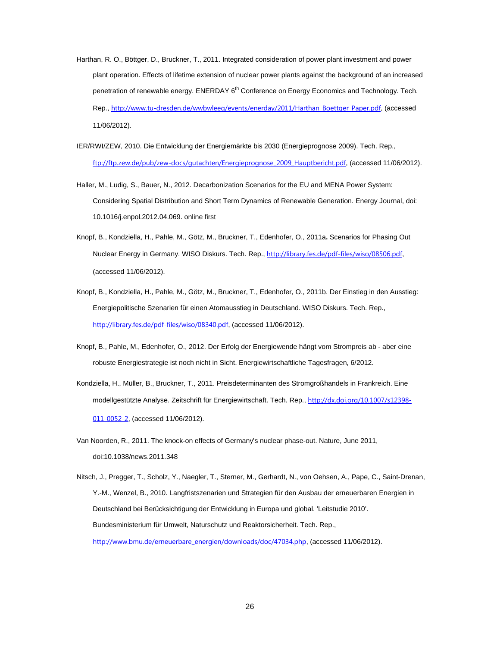- Harthan, R. O., Böttger, D., Bruckner, T., 2011. Integrated consideration of power plant investment and power plant operation. Effects of lifetime extension of nuclear power plants against the background of an increased penetration of renewable energy. ENERDAY 6<sup>th</sup> Conference on Energy Economics and Technology. Tech. Rep., http://www.tu-dresden.de/wwbwleeg/events/enerday/2011/Harthan\_Boettger\_Paper.pdf, (accessed 11/06/2012).
- IER/RWI/ZEW, 2010. Die Entwicklung der Energiemärkte bis 2030 (Energieprognose 2009). Tech. Rep., ftp://ftp.zew.de/pub/zew-docs/gutachten/Energieprognose\_2009\_Hauptbericht.pdf, (accessed 11/06/2012).
- Haller, M., Ludig, S., Bauer, N., 2012. Decarbonization Scenarios for the EU and MENA Power System: Considering Spatial Distribution and Short Term Dynamics of Renewable Generation. Energy Journal, doi: 10.1016/j.enpol.2012.04.069. online first
- Knopf, B., Kondziella, H., Pahle, M., Götz, M., Bruckner, T., Edenhofer, O., 2011a**.** Scenarios for Phasing Out Nuclear Energy in Germany. WISO Diskurs. Tech. Rep., http://library.fes.de/pdf-files/wiso/08506.pdf, (accessed 11/06/2012).
- Knopf, B., Kondziella, H., Pahle, M., Götz, M., Bruckner, T., Edenhofer, O., 2011b. Der Einstieg in den Ausstieg: Energiepolitische Szenarien für einen Atomausstieg in Deutschland. WISO Diskurs. Tech. Rep., http://library.fes.de/pdf-files/wiso/08340.pdf, (accessed 11/06/2012).
- Knopf, B., Pahle, M., Edenhofer, O., 2012. Der Erfolg der Energiewende hängt vom Strompreis ab aber eine robuste Energiestrategie ist noch nicht in Sicht. Energiewirtschaftliche Tagesfragen, 6/2012.
- Kondziella, H., Müller, B., Bruckner, T., 2011. Preisdeterminanten des Stromgroßhandels in Frankreich. Eine modellgestützte Analyse. Zeitschrift für Energiewirtschaft. Tech. Rep., http://dx.doi.org/10.1007/s12398-011-0052-2, (accessed 11/06/2012).
- Van Noorden, R., 2011. The knock-on effects of Germany's nuclear phase-out. Nature, June 2011, doi:10.1038/news.2011.348

Nitsch, J., Pregger, T., Scholz, Y., Naegler, T., Sterner, M., Gerhardt, N., von Oehsen, A., Pape, C., Saint-Drenan, Y.-M., Wenzel, B., 2010. Langfristszenarien und Strategien für den Ausbau der erneuerbaren Energien in Deutschland bei Berücksichtigung der Entwicklung in Europa und global. 'Leitstudie 2010'. Bundesministerium für Umwelt, Naturschutz und Reaktorsicherheit. Tech. Rep., http://www.bmu.de/erneuerbare\_energien/downloads/doc/47034.php, (accessed 11/06/2012).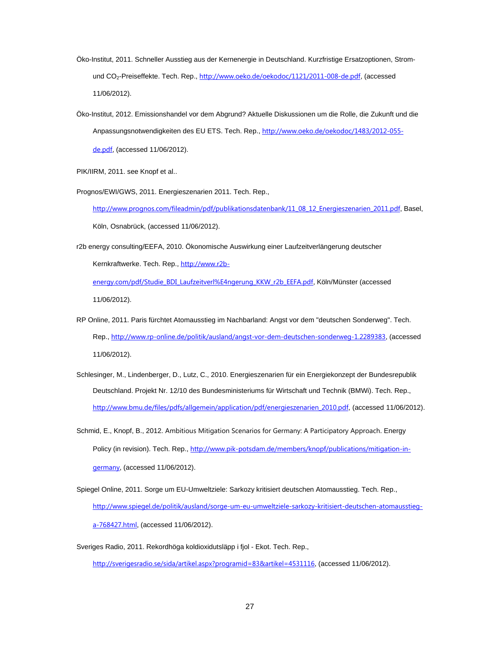- Öko-Institut, 2011. Schneller Ausstieg aus der Kernenergie in Deutschland. Kurzfristige Ersatzoptionen, Stromund CO<sub>2</sub>-Preiseffekte. Tech. Rep., http://www.oeko.de/oekodoc/1121/2011-008-de.pdf, (accessed 11/06/2012).
- Öko-Institut, 2012. Emissionshandel vor dem Abgrund? Aktuelle Diskussionen um die Rolle, die Zukunft und die Anpassungsnotwendigkeiten des EU ETS. Tech. Rep., http://www.oeko.de/oekodoc/1483/2012-055 de.pdf, (accessed 11/06/2012).

PIK/IIRM, 2011. see Knopf et al..

Prognos/EWI/GWS, 2011. Energieszenarien 2011. Tech. Rep.,

http://www.prognos.com/fileadmin/pdf/publikationsdatenbank/11\_08\_12\_Energieszenarien\_2011.pdf, Basel, Köln, Osnabrück, (accessed 11/06/2012).

r2b energy consulting/EEFA, 2010. Ökonomische Auswirkung einer Laufzeitverlängerung deutscher Kernkraftwerke. Tech. Rep., http://www.r2b-

energy.com/pdf/Studie\_BDI\_Laufzeitverl%E4ngerung\_KKW\_r2b\_EEFA.pdf, Köln/Münster (accessed 11/06/2012).

- Schlesinger, M., Lindenberger, D., Lutz, C., 2010. Energieszenarien für ein Energiekonzept der Bundesrepublik Deutschland. Projekt Nr. 12/10 des Bundesministeriums für Wirtschaft und Technik (BMWi). Tech. Rep., http://www.bmu.de/files/pdfs/allgemein/application/pdf/energieszenarien\_2010.pdf, (accessed 11/06/2012).
- Schmid, E., Knopf, B., 2012. Ambitious Mitigation Scenarios for Germany: A Participatory Approach. Energy Policy (in revision). Tech. Rep., http://www.pik-potsdam.de/members/knopf/publications/mitigation-ingermany, (accessed 11/06/2012).
- Spiegel Online, 2011. Sorge um EU-Umweltziele: Sarkozy kritisiert deutschen Atomausstieg. Tech. Rep., http://www.spiegel.de/politik/ausland/sorge-um-eu-umweltziele-sarkozy-kritisiert-deutschen-atomausstiega-768427.html, (accessed 11/06/2012).
- Sveriges Radio, 2011. Rekordhöga koldioxidutsläpp i fjol Ekot. Tech. Rep.,

http://sverigesradio.se/sida/artikel.aspx?programid=83&artikel=4531116, (accessed 11/06/2012).

RP Online, 2011. Paris fürchtet Atomausstieg im Nachbarland: Angst vor dem "deutschen Sonderweg". Tech. Rep., http://www.rp-online.de/politik/ausland/angst-vor-dem-deutschen-sonderweg-1.2289383, (accessed 11/06/2012).